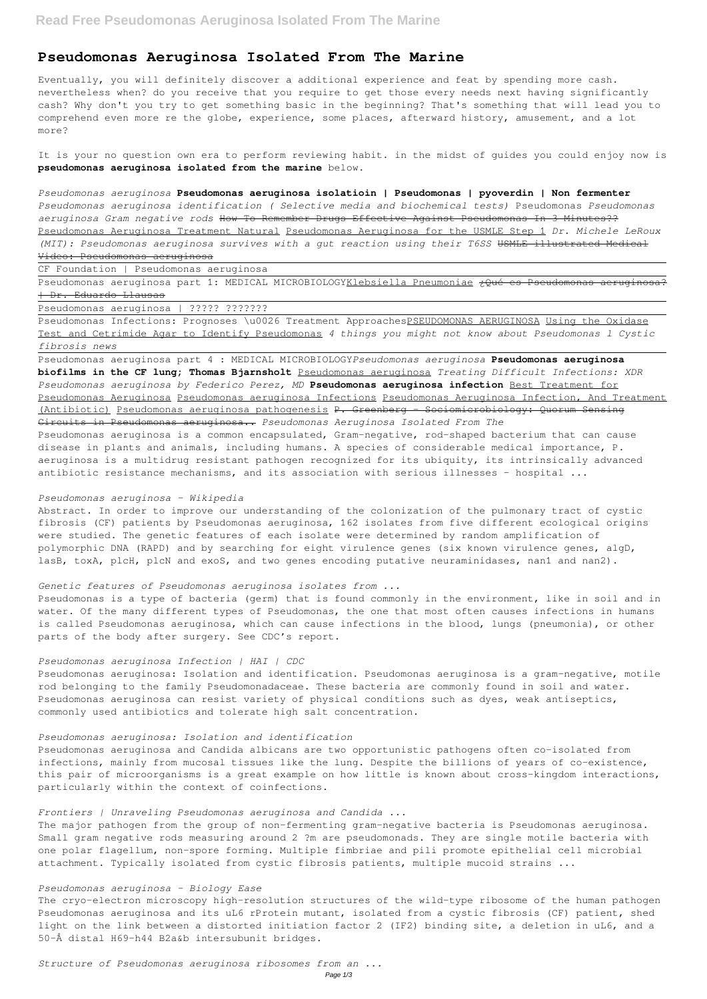# **Pseudomonas Aeruginosa Isolated From The Marine**

Eventually, you will definitely discover a additional experience and feat by spending more cash. nevertheless when? do you receive that you require to get those every needs next having significantly cash? Why don't you try to get something basic in the beginning? That's something that will lead you to comprehend even more re the globe, experience, some places, afterward history, amusement, and a lot more?

It is your no question own era to perform reviewing habit. in the midst of guides you could enjoy now is **pseudomonas aeruginosa isolated from the marine** below.

Pseudomonas aeruginosa part 1: MEDICAL MICROBIOLOGYKlebsiella Pneumoniae ¿Qué es Pseudomonas aeruginosa? | Dr. Eduardo Llausas

Pseudomonas Infections: Prognoses \u0026 Treatment ApproachesPSEUDOMONAS AERUGINOSA Using the Oxidase Test and Cetrimide Agar to Identify Pseudomonas *4 things you might not know about Pseudomonas l Cystic fibrosis news*

Pseudomonas aeruginosa part 4 : MEDICAL MICROBIOLOGY*Pseudomonas aeruginosa* **Pseudomonas aeruginosa biofilms in the CF lung; Thomas Bjarnsholt** Pseudomonas aeruginosa *Treating Difficult Infections: XDR Pseudomonas aeruginosa by Federico Perez, MD* **Pseudomonas aeruginosa infection** Best Treatment for Pseudomonas Aeruginosa Pseudomonas aeruginosa Infections Pseudomonas Aeruginosa Infection, And Treatment (Antibiotic) Pseudomonas aeruginosa pathogenesis P. Greenberg - Sociomicrobiology: Quorum Sensing Circuits in Pseudomonas aeruginosa.. *Pseudomonas Aeruginosa Isolated From The* Pseudomonas aeruginosa is a common encapsulated, Gram-negative, rod-shaped bacterium that can cause disease in plants and animals, including humans. A species of considerable medical importance, P. aeruginosa is a multidrug resistant pathogen recognized for its ubiquity, its intrinsically advanced antibiotic resistance mechanisms, and its association with serious illnesses - hospital ...

*Pseudomonas aeruginosa* **Pseudomonas aeruginosa isolatioin | Pseudomonas | pyoverdin | Non fermenter** *Pseudomonas aeruginosa identification ( Selective media and biochemical tests)* Pseudomonas *Pseudomonas aeruginosa Gram negative rods* How To Remember Drugs Effective Against Pseudomonas In 3 Minutes?? Pseudomonas Aeruginosa Treatment Natural Pseudomonas Aeruginosa for the USMLE Step 1 *Dr. Michele LeRoux (MIT): Pseudomonas aeruginosa survives with a gut reaction using their T6SS* USMLE illustrated Medical Video: Pseudomonas aeruginosa

CF Foundation | Pseudomonas aeruginosa

Abstract. In order to improve our understanding of the colonization of the pulmonary tract of cystic fibrosis (CF) patients by Pseudomonas aeruginosa, 162 isolates from five different ecological origins were studied. The genetic features of each isolate were determined by random amplification of polymorphic DNA (RAPD) and by searching for eight virulence genes (six known virulence genes, algD, lasB, toxA, plcH, plcN and exoS, and two genes encoding putative neuraminidases, nan1 and nan2).

Pseudomonas aeruginosa | ????? ???????

#### *Pseudomonas aeruginosa - Wikipedia*

#### *Genetic features of Pseudomonas aeruginosa isolates from ...*

Pseudomonas is a type of bacteria (germ) that is found commonly in the environment, like in soil and in water. Of the many different types of Pseudomonas, the one that most often causes infections in humans is called Pseudomonas aeruginosa, which can cause infections in the blood, lungs (pneumonia), or other parts of the body after surgery. See CDC's report.

#### *Pseudomonas aeruginosa Infection | HAI | CDC*

Pseudomonas aeruginosa: Isolation and identification. Pseudomonas aeruginosa is a gram-negative, motile rod belonging to the family Pseudomonadaceae. These bacteria are commonly found in soil and water. Pseudomonas aeruginosa can resist variety of physical conditions such as dyes, weak antiseptics, commonly used antibiotics and tolerate high salt concentration.

## *Pseudomonas aeruginosa: Isolation and identification*

Pseudomonas aeruginosa and Candida albicans are two opportunistic pathogens often co-isolated from

infections, mainly from mucosal tissues like the lung. Despite the billions of years of co-existence, this pair of microorganisms is a great example on how little is known about cross-kingdom interactions, particularly within the context of coinfections.

*Frontiers | Unraveling Pseudomonas aeruginosa and Candida ...*

The major pathogen from the group of non-fermenting gram-negative bacteria is Pseudomonas aeruginosa. Small gram negative rods measuring around 2 ?m are pseudomonads. They are single motile bacteria with one polar flagellum, non-spore forming. Multiple fimbriae and pili promote epithelial cell microbial attachment. Typically isolated from cystic fibrosis patients, multiple mucoid strains ...

*Pseudomonas aeruginosa - Biology Ease*

The cryo-electron microscopy high-resolution structures of the wild-type ribosome of the human pathogen Pseudomonas aeruginosa and its uL6 rProtein mutant, isolated from a cystic fibrosis (CF) patient, shed light on the link between a distorted initiation factor 2 (IF2) binding site, a deletion in uL6, and a 50-Å distal H69–h44 B2a&b intersubunit bridges.

*Structure of Pseudomonas aeruginosa ribosomes from an ...*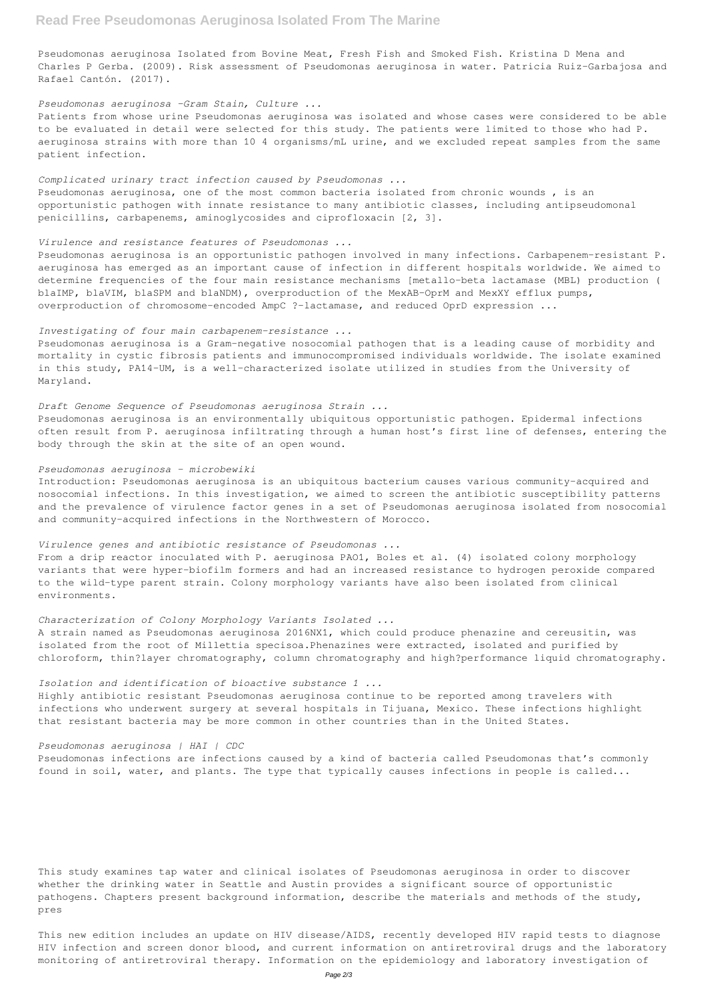Pseudomonas aeruginosa Isolated from Bovine Meat, Fresh Fish and Smoked Fish. Kristina D Mena and Charles P Gerba. (2009). Risk assessment of Pseudomonas aeruginosa in water. Patricia Ruiz-Garbajosa and Rafael Cantón. (2017).

#### *Pseudomonas aeruginosa -Gram Stain, Culture ...*

Patients from whose urine Pseudomonas aeruginosa was isolated and whose cases were considered to be able to be evaluated in detail were selected for this study. The patients were limited to those who had P. aeruginosa strains with more than 10 4 organisms/mL urine, and we excluded repeat samples from the same patient infection.

### *Complicated urinary tract infection caused by Pseudomonas ...*

Pseudomonas aeruginosa, one of the most common bacteria isolated from chronic wounds , is an opportunistic pathogen with innate resistance to many antibiotic classes, including antipseudomonal penicillins, carbapenems, aminoglycosides and ciprofloxacin [2, 3].

#### *Virulence and resistance features of Pseudomonas ...*

Pseudomonas aeruginosa is an opportunistic pathogen involved in many infections. Carbapenem-resistant P. aeruginosa has emerged as an important cause of infection in different hospitals worldwide. We aimed to determine frequencies of the four main resistance mechanisms [metallo-beta lactamase (MBL) production ( blaIMP, blaVIM, blaSPM and blaNDM), overproduction of the MexAB–OprM and MexXY efflux pumps, overproduction of chromosome-encoded AmpC ?–lactamase, and reduced OprD expression ...

### *Investigating of four main carbapenem-resistance ...*

Pseudomonas aeruginosa is a Gram-negative nosocomial pathogen that is a leading cause of morbidity and mortality in cystic fibrosis patients and immunocompromised individuals worldwide. The isolate examined in this study, PA14-UM, is a well-characterized isolate utilized in studies from the University of Maryland.

#### *Draft Genome Sequence of Pseudomonas aeruginosa Strain ...*

Pseudomonas aeruginosa is an environmentally ubiquitous opportunistic pathogen. Epidermal infections often result from P. aeruginosa infiltrating through a human host's first line of defenses, entering the body through the skin at the site of an open wound.

#### *Pseudomonas aeruginosa - microbewiki*

Introduction: Pseudomonas aeruginosa is an ubiquitous bacterium causes various community-acquired and nosocomial infections. In this investigation, we aimed to screen the antibiotic susceptibility patterns and the prevalence of virulence factor genes in a set of Pseudomonas aeruginosa isolated from nosocomial and community-acquired infections in the Northwestern of Morocco.

#### *Virulence genes and antibiotic resistance of Pseudomonas ...*

From a drip reactor inoculated with P. aeruginosa PAO1, Boles et al. (4) isolated colony morphology variants that were hyper-biofilm formers and had an increased resistance to hydrogen peroxide compared to the wild-type parent strain. Colony morphology variants have also been isolated from clinical environments.

#### *Characterization of Colony Morphology Variants Isolated ...*

A strain named as Pseudomonas aeruginosa 2016NX1, which could produce phenazine and cereusitin, was isolated from the root of Millettia specisoa.Phenazines were extracted, isolated and purified by chloroform, thin?layer chromatography, column chromatography and high?performance liquid chromatography.

#### *Isolation and identification of bioactive substance 1 ...*

Highly antibiotic resistant Pseudomonas aeruginosa continue to be reported among travelers with infections who underwent surgery at several hospitals in Tijuana, Mexico. These infections highlight that resistant bacteria may be more common in other countries than in the United States.

Pseudomonas infections are infections caused by a kind of bacteria called Pseudomonas that's commonly found in soil, water, and plants. The type that typically causes infections in people is called...

This study examines tap water and clinical isolates of Pseudomonas aeruginosa in order to discover whether the drinking water in Seattle and Austin provides a significant source of opportunistic pathogens. Chapters present background information, describe the materials and methods of the study, pres

This new edition includes an update on HIV disease/AIDS, recently developed HIV rapid tests to diagnose HIV infection and screen donor blood, and current information on antiretroviral drugs and the laboratory monitoring of antiretroviral therapy. Information on the epidemiology and laboratory investigation of